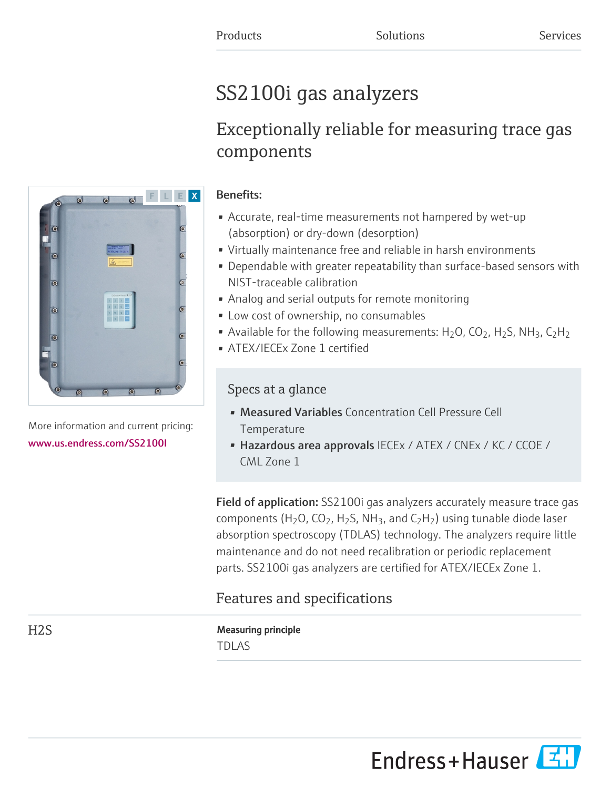# SS2100i gas analyzers

# Exceptionally reliable for measuring trace gas components



More information and current pricing: [www.us.endress.com/SS2100I](https://www.us.endress.com/SS2100I)

# Benefits:

- Accurate, real-time measurements not hampered by wet-up (absorption) or dry-down (desorption)
- Virtually maintenance free and reliable in harsh environments
- Dependable with greater repeatability than surface-based sensors with NIST-traceable calibration
- Analog and serial outputs for remote monitoring
- Low cost of ownership, no consumables
- Available for the following measurements:  $H_2O$ ,  $CO_2$ ,  $H_2S$ , NH<sub>3</sub>,  $C_2H_2$
- ATEX/IECEx Zone 1 certified

# Specs at a glance

- Measured Variables Concentration Cell Pressure Cell **Temperature**
- Hazardous area approvals IECEx / ATEX / CNEx / KC / CCOE / CML Zone 1

Field of application: SS2100i gas analyzers accurately measure trace gas components (H<sub>2</sub>O, CO<sub>2</sub>, H<sub>2</sub>S, NH<sub>3</sub>, and C<sub>2</sub>H<sub>2</sub>) using tunable diode laser absorption spectroscopy (TDLAS) technology. The analyzers require little maintenance and do not need recalibration or periodic replacement parts. SS2100i gas analyzers are certified for ATEX/IECEx Zone 1.

# Features and specifications

H2S Measuring principle TDLAS

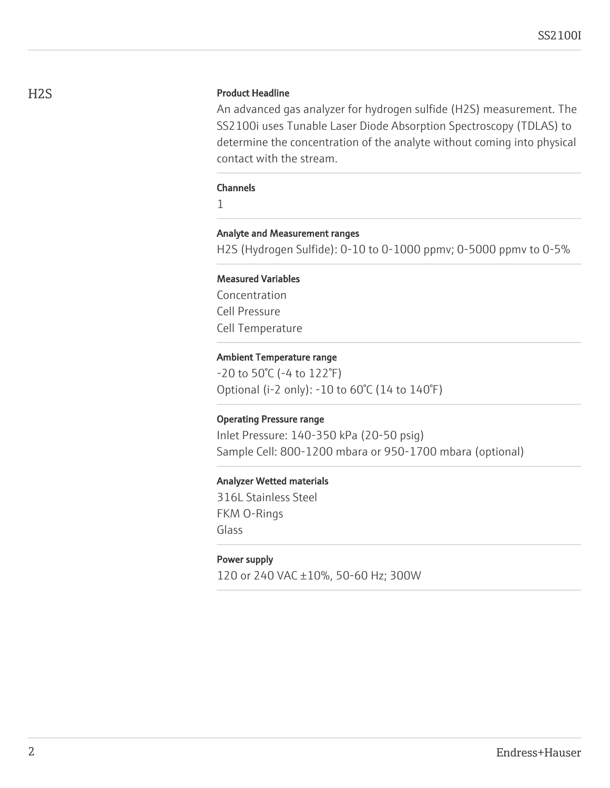# H2S Product Headline

An advanced gas analyzer for hydrogen sulfide (H2S) measurement. The SS2100i uses Tunable Laser Diode Absorption Spectroscopy (TDLAS) to determine the concentration of the analyte without coming into physical contact with the stream.

#### **Channels**

1

#### Analyte and Measurement ranges

H2S (Hydrogen Sulfide): 0-10 to 0-1000 ppmv; 0-5000 ppmv to 0-5%

### Measured Variables

Concentration Cell Pressure Cell Temperature

#### Ambient Temperature range

-20 to 50°C (-4 to 122°F) Optional (i-2 only): -10 to 60°C (14 to 140°F)

#### Operating Pressure range

Inlet Pressure: 140-350 kPa (20-50 psig) Sample Cell: 800-1200 mbara or 950-1700 mbara (optional)

#### Analyzer Wetted materials

316L Stainless Steel FKM O-Rings Glass

#### Power supply

120 or 240 VAC ±10%, 50-60 Hz; 300W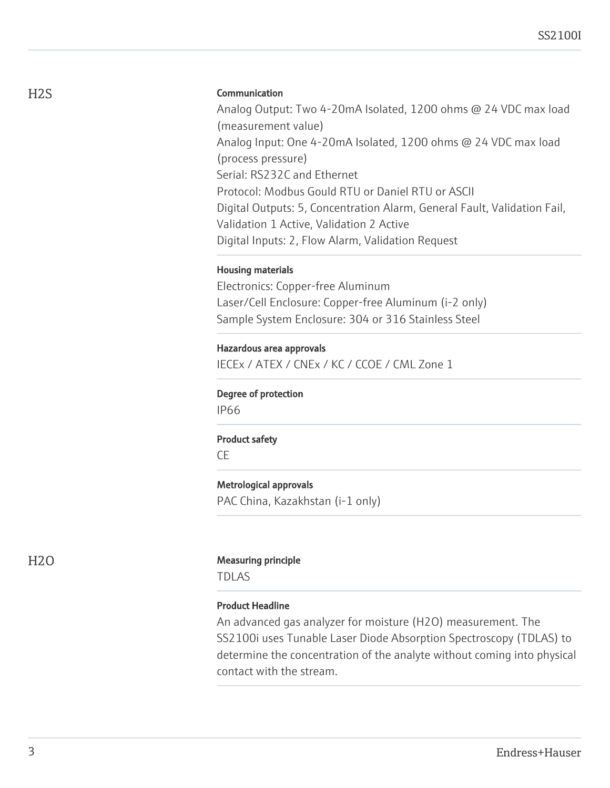# Communication

Analog Output: Two 4-20mA Isolated, 1200 ohms @ 24 VDC max load (measurement value) Analog Input: One 4-20mA Isolated, 1200 ohms @ 24 VDC max load (process pressure) Serial: RS232C and Ethernet Protocol: Modbus Gould RTU or Daniel RTU or ASCII Digital Outputs: 5, Concentration Alarm, General Fault, Validation Fail, Validation 1 Active, Validation 2 Active Digital Inputs: 2, Flow Alarm, Validation Request

#### Housing materials

Electronics: Copper-free Aluminum Laser/Cell Enclosure: Copper-free Aluminum (i-2 only) Sample System Enclosure: 304 or 316 Stainless Steel

#### Hazardous area approvals

IECEx / ATEX / CNEx / KC / CCOE / CML Zone 1

#### Degree of protection

IP66

#### Product safety

CE

## Metrological approvals

PAC China, Kazakhstan (i-1 only)

#### H<sub>2</sub>O Measuring principle

TDLAS

## Product Headline

An advanced gas analyzer for moisture (H2O) measurement. The SS2100i uses Tunable Laser Diode Absorption Spectroscopy (TDLAS) to determine the concentration of the analyte without coming into physical contact with the stream.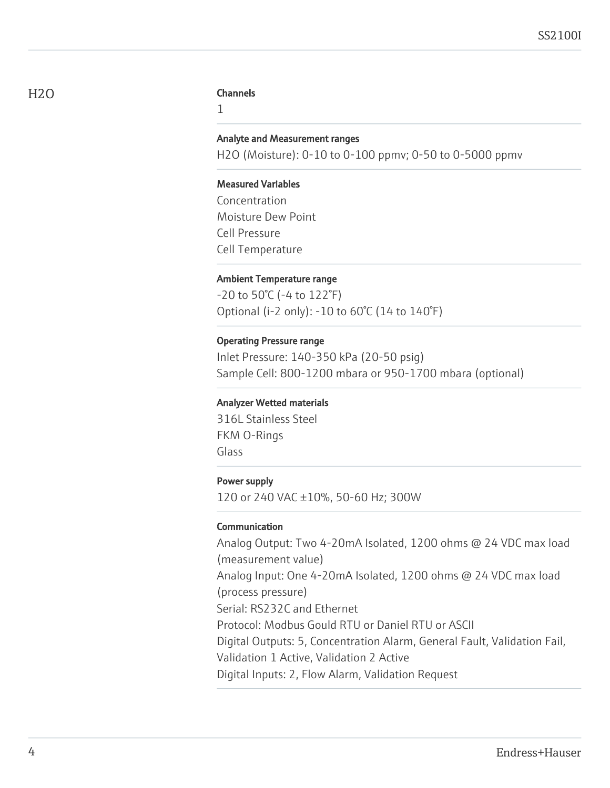#### Channels

1

#### Analyte and Measurement ranges

H2O (Moisture): 0-10 to 0-100 ppmv; 0-50 to 0-5000 ppmv

#### Measured Variables

Concentration Moisture Dew Point Cell Pressure Cell Temperature

#### Ambient Temperature range

-20 to 50°C (-4 to 122°F) Optional (i-2 only): -10 to 60°C (14 to 140°F)

#### Operating Pressure range

Inlet Pressure: 140-350 kPa (20-50 psig) Sample Cell: 800-1200 mbara or 950-1700 mbara (optional)

#### Analyzer Wetted materials

316L Stainless Steel FKM O-Rings Glass

### Power supply

120 or 240 VAC ±10%, 50-60 Hz; 300W

#### Communication

Analog Output: Two 4-20mA Isolated, 1200 ohms @ 24 VDC max load (measurement value) Analog Input: One 4-20mA Isolated, 1200 ohms @ 24 VDC max load (process pressure) Serial: RS232C and Ethernet Protocol: Modbus Gould RTU or Daniel RTU or ASCII Digital Outputs: 5, Concentration Alarm, General Fault, Validation Fail, Validation 1 Active, Validation 2 Active Digital Inputs: 2, Flow Alarm, Validation Request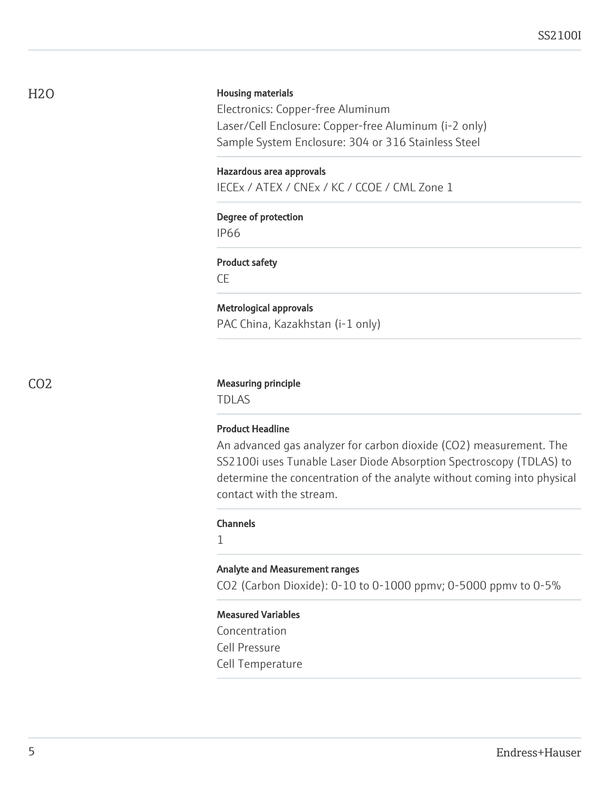H2O

#### Housing materials

Electronics: Copper-free Aluminum Laser/Cell Enclosure: Copper-free Aluminum (i-2 only) Sample System Enclosure: 304 or 316 Stainless Steel

#### Hazardous area approvals

IECEx / ATEX / CNEx / KC / CCOE / CML Zone 1

# Degree of protection

IP66

#### Product safety

CE

# Metrological approvals

PAC China, Kazakhstan (i-1 only)

#### CO2 Measuring principle

TDLAS

#### Product Headline

An advanced gas analyzer for carbon dioxide (CO2) measurement. The SS2100i uses Tunable Laser Diode Absorption Spectroscopy (TDLAS) to determine the concentration of the analyte without coming into physical contact with the stream.

#### Channels

1

#### Analyte and Measurement ranges

CO2 (Carbon Dioxide): 0-10 to 0-1000 ppmv; 0-5000 ppmv to 0-5%

#### Measured Variables

Concentration Cell Pressure Cell Temperature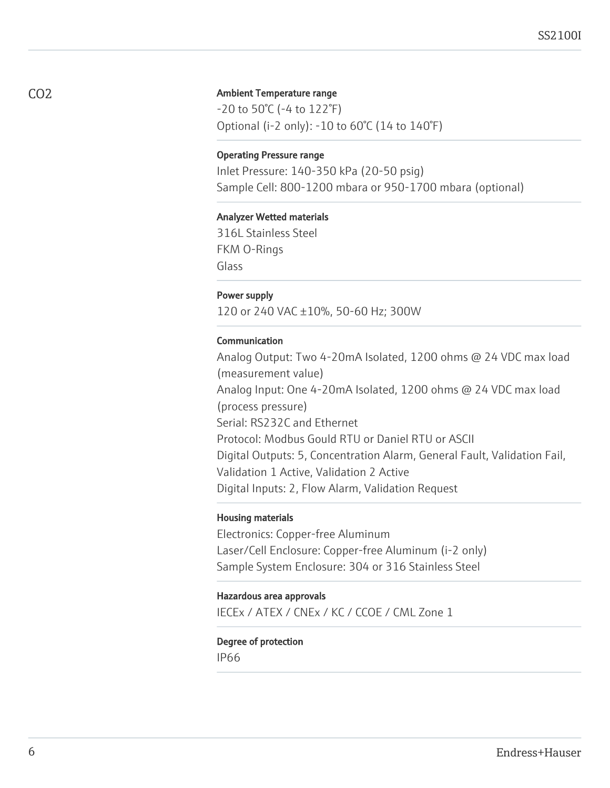#### Ambient Temperature range

-20 to 50°C (-4 to 122°F) Optional (i-2 only): -10 to 60°C (14 to 140°F)

#### Operating Pressure range

Inlet Pressure: 140-350 kPa (20-50 psig) Sample Cell: 800-1200 mbara or 950-1700 mbara (optional)

#### Analyzer Wetted materials

316L Stainless Steel FKM O-Rings Glass

#### Power supply

120 or 240 VAC ±10%, 50-60 Hz; 300W

## Communication

Analog Output: Two 4-20mA Isolated, 1200 ohms @ 24 VDC max load (measurement value) Analog Input: One 4-20mA Isolated, 1200 ohms @ 24 VDC max load (process pressure) Serial: RS232C and Ethernet Protocol: Modbus Gould RTU or Daniel RTU or ASCII Digital Outputs: 5, Concentration Alarm, General Fault, Validation Fail, Validation 1 Active, Validation 2 Active Digital Inputs: 2, Flow Alarm, Validation Request

#### Housing materials

Electronics: Copper-free Aluminum Laser/Cell Enclosure: Copper-free Aluminum (i-2 only) Sample System Enclosure: 304 or 316 Stainless Steel

#### Hazardous area approvals

IECEx / ATEX / CNEx / KC / CCOE / CML Zone 1

# Degree of protection

IP66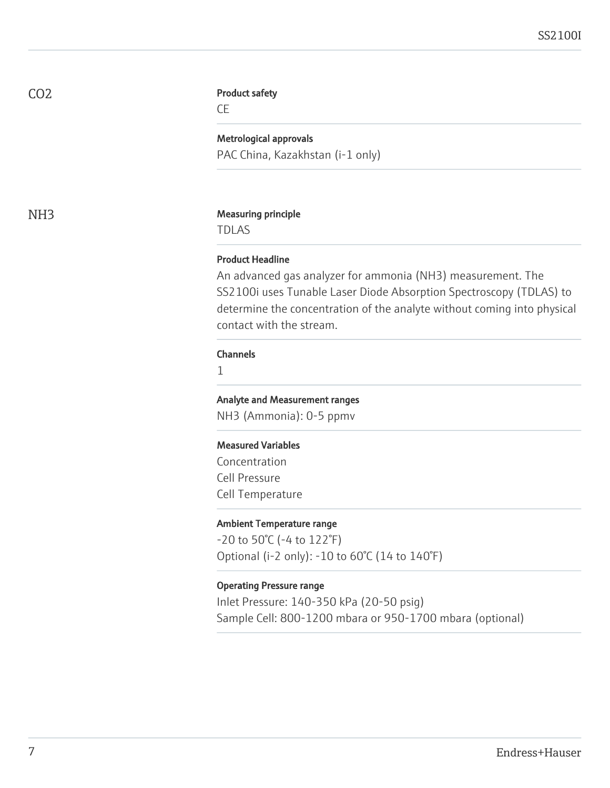CO2

#### Product safety

CE

Metrological approvals PAC China, Kazakhstan (i-1 only)

#### NH<sub>3</sub> Measuring principle

TDLAS

# Product Headline

An advanced gas analyzer for ammonia (NH3) measurement. The SS2100i uses Tunable Laser Diode Absorption Spectroscopy (TDLAS) to determine the concentration of the analyte without coming into physical contact with the stream.

#### Channels

1

# Analyte and Measurement ranges

NH3 (Ammonia): 0-5 ppmv

#### Measured Variables

Concentration Cell Pressure Cell Temperature

#### Ambient Temperature range

-20 to 50°C (-4 to 122°F) Optional (i-2 only): -10 to 60°C (14 to 140°F)

#### Operating Pressure range

Inlet Pressure: 140-350 kPa (20-50 psig) Sample Cell: 800-1200 mbara or 950-1700 mbara (optional)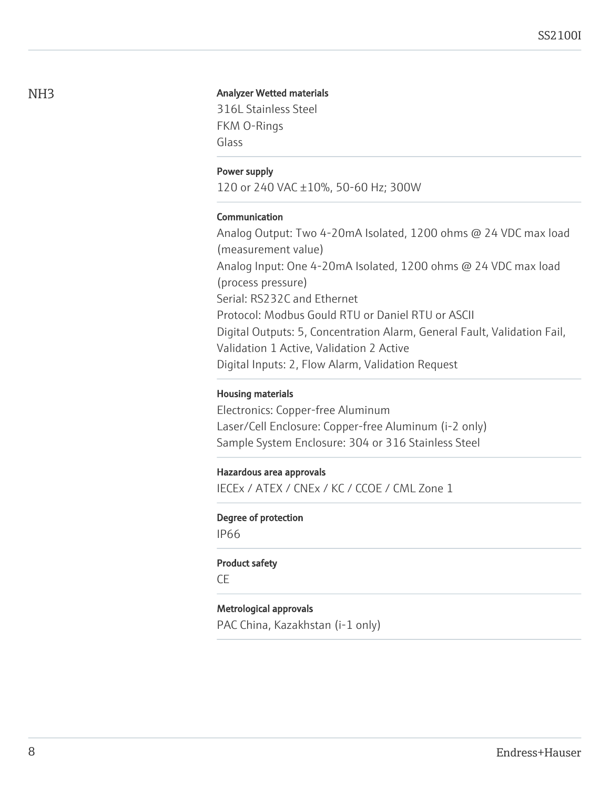#### Analyzer Wetted materials

316L Stainless Steel FKM O-Rings Glass

#### Power supply

120 or 240 VAC ±10%, 50-60 Hz; 300W

#### Communication

Analog Output: Two 4-20mA Isolated, 1200 ohms @ 24 VDC max load (measurement value) Analog Input: One 4-20mA Isolated, 1200 ohms @ 24 VDC max load (process pressure) Serial: RS232C and Ethernet Protocol: Modbus Gould RTU or Daniel RTU or ASCII Digital Outputs: 5, Concentration Alarm, General Fault, Validation Fail, Validation 1 Active, Validation 2 Active Digital Inputs: 2, Flow Alarm, Validation Request

#### Housing materials

Electronics: Copper-free Aluminum Laser/Cell Enclosure: Copper-free Aluminum (i-2 only) Sample System Enclosure: 304 or 316 Stainless Steel

#### Hazardous area approvals

IECEx / ATEX / CNEx / KC / CCOE / CML Zone 1

#### Degree of protection

IP66

#### Product safety

CE

#### Metrological approvals

PAC China, Kazakhstan (i-1 only)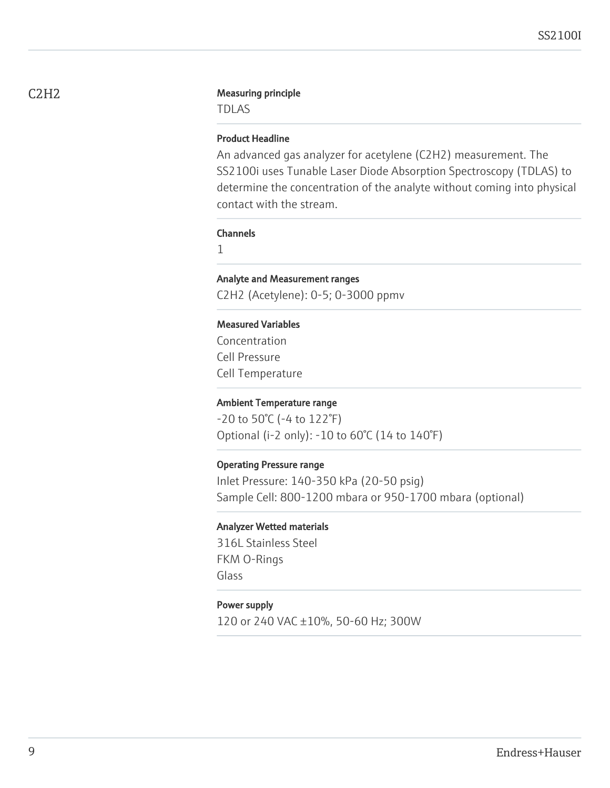#### C2H2 Measuring principle

TDLAS

# Product Headline

An advanced gas analyzer for acetylene (C2H2) measurement. The SS2100i uses Tunable Laser Diode Absorption Spectroscopy (TDLAS) to determine the concentration of the analyte without coming into physical contact with the stream.

#### Channels

1

# Analyte and Measurement ranges

C2H2 (Acetylene): 0-5; 0-3000 ppmv

## Measured Variables

Concentration Cell Pressure Cell Temperature

#### Ambient Temperature range

-20 to 50°C (-4 to 122°F) Optional (i-2 only): -10 to 60°C (14 to 140°F)

#### Operating Pressure range

Inlet Pressure: 140-350 kPa (20-50 psig) Sample Cell: 800-1200 mbara or 950-1700 mbara (optional)

#### Analyzer Wetted materials

316L Stainless Steel FKM O-Rings Glass

#### Power supply

120 or 240 VAC ±10%, 50-60 Hz; 300W